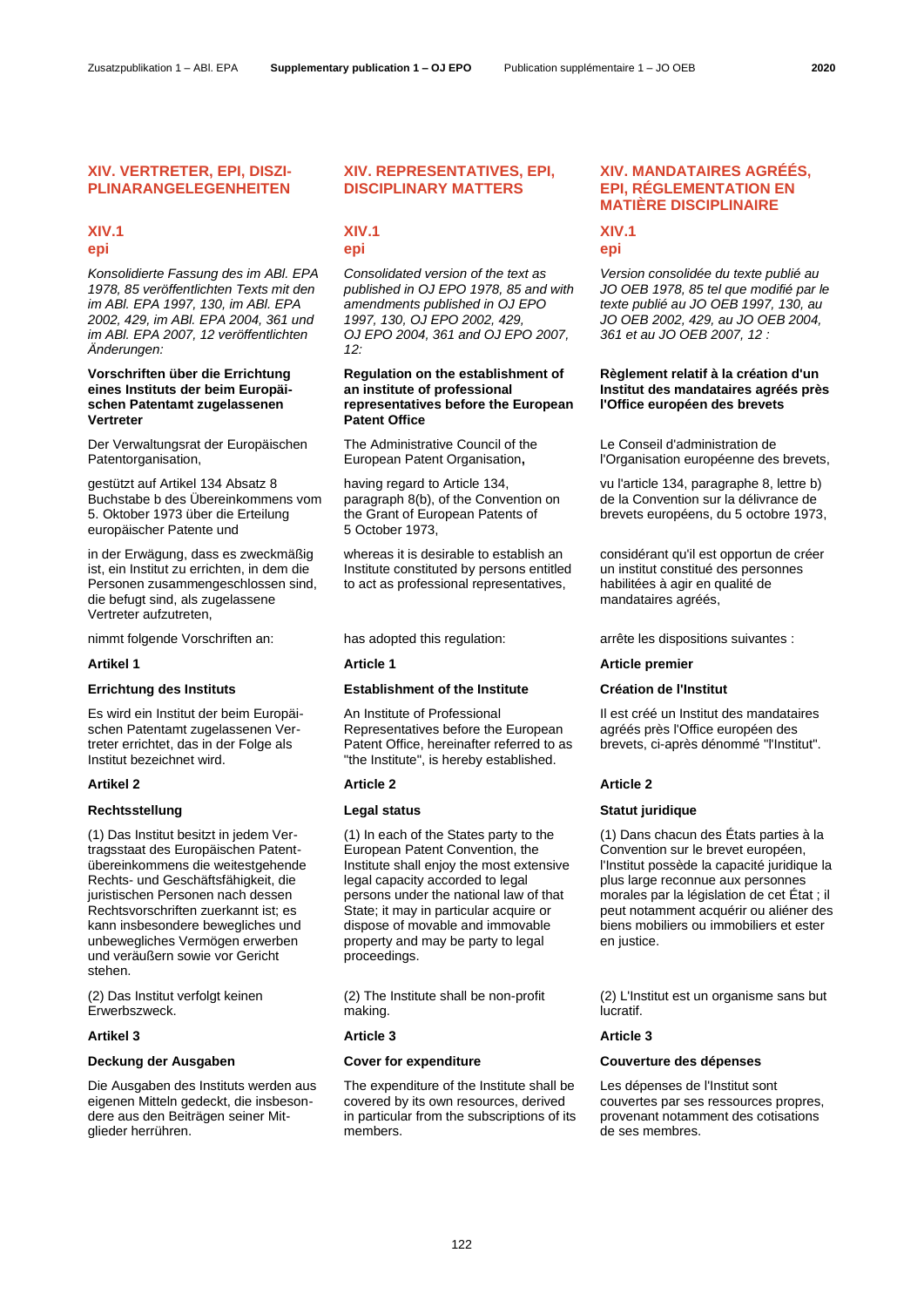# **XIV. VERTRETER, EPI, DISZI-PLINARANGELEGENHEITEN**

# **XIV.1 epi**

*Konsolidierte Fassung des im ABl. EPA 1978, 85 veröffentlichten Texts mit den im ABl. EPA 1997, 130, im ABl. EPA 2002, 429, im ABl. EPA 2004, 361 und im ABl. EPA 2007, 12 veröffentlichten Änderungen:*

# **Vorschriften über die Errichtung eines Instituts der beim Europäischen Patentamt zugelassenen Vertreter**

Der Verwaltungsrat der Europäischen Patentorganisation,

gestützt auf Artikel 134 Absatz 8 Buchstabe b des Übereinkommens vom 5. Oktober 1973 über die Erteilung europäischer Patente und

in der Erwägung, dass es zweckmäßig ist, ein Institut zu errichten, in dem die Personen zusammengeschlossen sind, die befugt sind, als zugelassene Vertreter aufzutreten,

Es wird ein Institut der beim Europäischen Patentamt zugelassenen Vertreter errichtet, das in der Folge als Institut bezeichnet wird.

(1) Das Institut besitzt in jedem Vertragsstaat des Europäischen Patentübereinkommens die weitestgehende Rechts- und Geschäftsfähigkeit, die juristischen Personen nach dessen Rechtsvorschriften zuerkannt ist; es kann insbesondere bewegliches und unbewegliches Vermögen erwerben und veräußern sowie vor Gericht stehen.

(2) Das Institut verfolgt keinen Erwerbszweck.

Die Ausgaben des Instituts werden aus eigenen Mitteln gedeckt, die insbesondere aus den Beiträgen seiner Mitglieder herrühren.

# **XIV. REPRESENTATIVES, EPI, DISCIPLINARY MATTERS**

# **XIV.1 epi**

*Consolidated version of the text as published in OJ EPO 1978, 85 and with amendments published in OJ EPO 1997, 130, OJ EPO 2002, 429, OJ EPO 2004, 361 and OJ EPO 2007, 12:*

## **Regulation on the establishment of an institute of professional representatives before the European Patent Office**

The Administrative Council of the European Patent Organisation**,**

having regard to Article 134, paragraph 8(b), of the Convention on the Grant of European Patents of 5 October 1973,

whereas it is desirable to establish an Institute constituted by persons entitled to act as professional representatives,

# **Errichtung des Instituts Establishment of the Institute Création de l'Institut**

An Institute of Professional Representatives before the European Patent Office, hereinafter referred to as "the Institute", is hereby established.

(1) In each of the States party to the European Patent Convention, the Institute shall enjoy the most extensive legal capacity accorded to legal persons under the national law of that State: it may in particular acquire or dispose of movable and immovable property and may be party to legal proceedings.

(2) The Institute shall be non-profit making.

### **Artikel 3 Article 3 Article 3**

The expenditure of the Institute shall be covered by its own resources, derived in particular from the subscriptions of its members.

# **XIV. MANDATAIRES AGRÉÉS, EPI, RÉGLEMENTATION EN MATIÈRE DISCIPLINAIRE**

# **XIV.1 epi**

*Version consolidée du texte publié au JO OEB 1978, 85 tel que modifié par le texte publié au JO OEB 1997, 130, au JO OEB 2002, 429, au JO OEB 2004, 361 et au JO OEB 2007, 12 :*

## **Règlement relatif à la création d'un Institut des mandataires agréés près l'Office européen des brevets**

Le Conseil d'administration de l'Organisation européenne des brevets,

vu l'article 134, paragraphe 8, lettre b) de la Convention sur la délivrance de brevets européens, du 5 octobre 1973,

considérant qu'il est opportun de créer un institut constitué des personnes habilitées à agir en qualité de mandataires agréés,

nimmt folgende Vorschriften an: has adopted this regulation: arrête les dispositions suivantes :

# **Artikel 1 Article 1 Article premier**

Il est créé un Institut des mandataires agréés près l'Office européen des brevets, ci-après dénommé "l'Institut".

### **Artikel 2 Article 2 Article 2**

# **Rechtsstellung Legal status Statut juridique**

(1) Dans chacun des États parties à la Convention sur le brevet européen, l'Institut possède la capacité juridique la plus large reconnue aux personnes morales par la législation de cet État ; il peut notamment acquérir ou aliéner des biens mobiliers ou immobiliers et ester en justice.

(2) L'Institut est un organisme sans but lucratif.

# **Deckung der Ausgaben Cover for expenditure Couverture des dépenses**

Les dépenses de l'Institut sont couvertes par ses ressources propres, provenant notamment des cotisations de ses membres.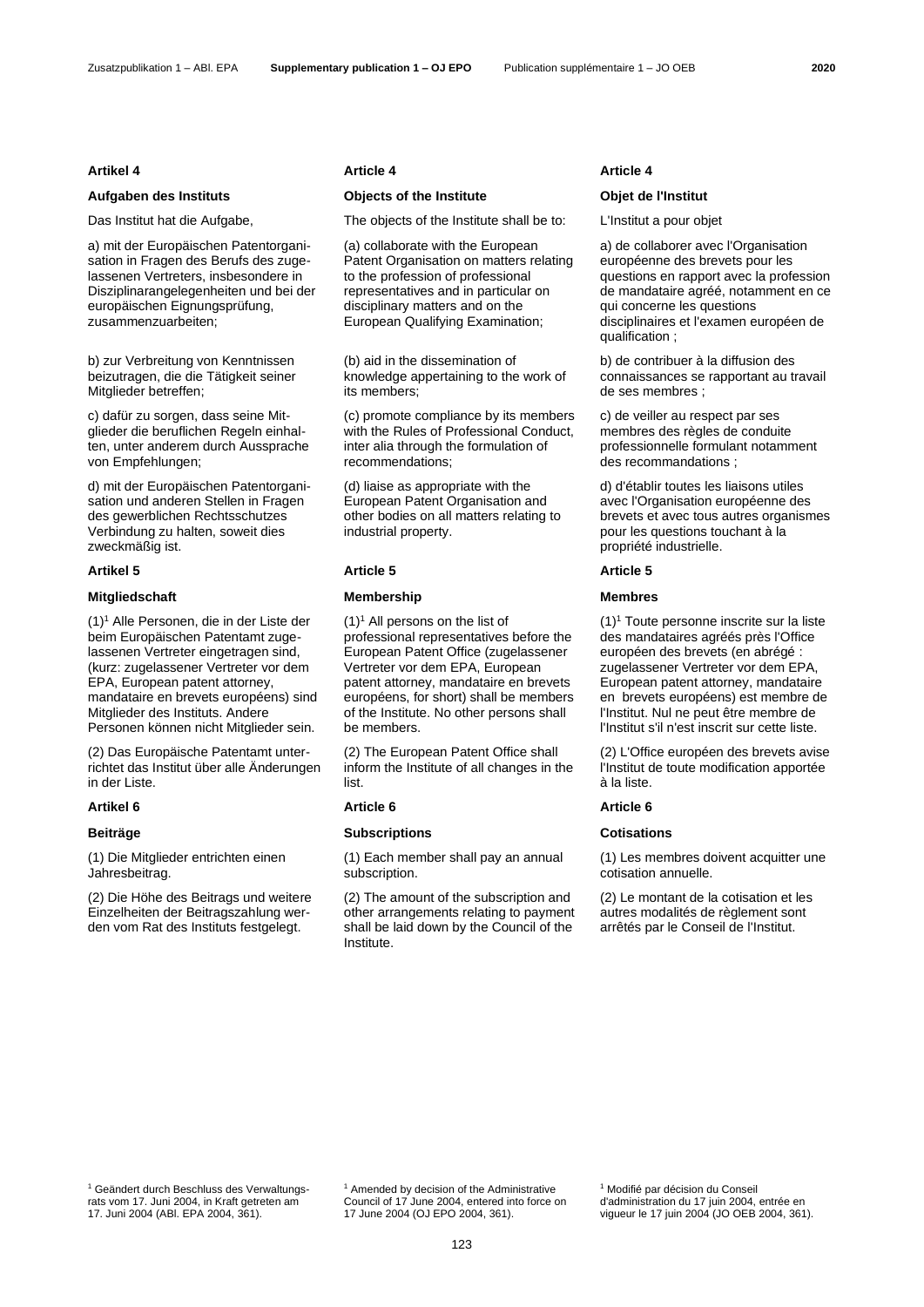# **Aufgaben des Instituts Objects of the Institute Objet de l'Institut**

a) mit der Europäischen Patentorganisation in Fragen des Berufs des zugelassenen Vertreters, insbesondere in Disziplinarangelegenheiten und bei der europäischen Eignungsprüfung, zusammenzuarbeiten;

b) zur Verbreitung von Kenntnissen beizutragen, die die Tätigkeit seiner Mitglieder betreffen;

c) dafür zu sorgen, dass seine Mitglieder die beruflichen Regeln einhalten, unter anderem durch Aussprache von Empfehlungen;

d) mit der Europäischen Patentorganisation und anderen Stellen in Fragen des gewerblichen Rechtsschutzes Verbindung zu halten, soweit dies zweckmäßig ist.

### **Mitgliedschaft Membership Membres**

<span id="page-1-0"></span>(1)<sup>1</sup> Alle Personen, die in der Liste der beim Europäischen Patentamt zugelassenen Vertreter eingetragen sind, (kurz: zugelassener Vertreter vor dem EPA, European patent attorney, mandataire en brevets européens) sind Mitglieder des Instituts. Andere Personen können nicht Mitglieder sein.

(2) Das Europäische Patentamt unterrichtet das Institut über alle Änderungen in der Liste.

(1) Die Mitglieder entrichten einen Jahresbeitrag.

(2) Die Höhe des Beitrags und weitere Einzelheiten der Beitragszahlung werden vom Rat des Instituts festgelegt.

### **Artikel 4 Article 4 Article 4**

Das Institut hat die Aufgabe, The objects of the Institute shall be to: L'Institut a pour objet

(a) collaborate with the European Patent Organisation on matters relating to the profession of professional representatives and in particular on disciplinary matters and on the European Qualifying Examination;

(b) aid in the dissemination of knowledge appertaining to the work of its members;

(c) promote compliance by its members with the Rules of Professional Conduct, inter alia through the formulation of recommendations;

(d) liaise as appropriate with the European Patent Organisation and other bodies on all matters relating to industrial property.

 $(1)^1$  $(1)^1$  $(1)^1$  All persons on the list of professional representatives before the European Patent Office (zugelassener Vertreter vor dem EPA, European patent attorney, mandataire en brevets européens, for short) shall be members of the Institute. No other persons shall be members.

(2) The European Patent Office shall inform the Institute of all changes in the list.

# **Beiträge Subscriptions Cotisations**

(1) Each member shall pay an annual subscription.

(2) The amount of the subscription and other arrangements relating to payment shall be laid down by the Council of the Institute.

a) de collaborer avec l'Organisation européenne des brevets pour les questions en rapport avec la profession de mandataire agréé, notamment en ce qui concerne les questions disciplinaires et l'examen européen de qualification :

b) de contribuer à la diffusion des connaissances se rapportant au travail de ses membres ;

c) de veiller au respect par ses membres des règles de conduite professionnelle formulant notamment des recommandations ;

d) d'établir toutes les liaisons utiles avec l'Organisation européenne des brevets et avec tous autres organismes pour les questions touchant à la propriété industrielle.

### **Artikel 5 Article 5 Article 5**

 $(1)$  $(1)$ <sup>1</sup> Toute personne inscrite sur la liste des mandataires agréés près l'Office européen des brevets (en abrégé : zugelassener Vertreter vor dem EPA, European patent attorney, mandataire en brevets européens) est membre de l'Institut. Nul ne peut être membre de l'Institut s'il n'est inscrit sur cette liste.

(2) L'Office européen des brevets avise l'Institut de toute modification apportée à la liste.

### **Artikel 6 Article 6 Article 6**

(1) Les membres doivent acquitter une cotisation annuelle.

(2) Le montant de la cotisation et les autres modalités de règlement sont arrêtés par le Conseil de l'Institut.

<sup>1</sup> Geändert durch Beschluss des Verwaltungsrats vom 17. Juni 2004, in Kraft getreten am 17. Juni 2004 (ABl. EPA 2004, 361).

<sup>1</sup> Amended by decision of the Administrative Council of 17 June 2004, entered into force on 17 June 2004 (OJ EPO 2004, 361).

<sup>1</sup> Modifié par décision du Conseil d'administration du 17 juin 2004, entrée en vigueur le 17 juin 2004 (JO OEB 2004, 361).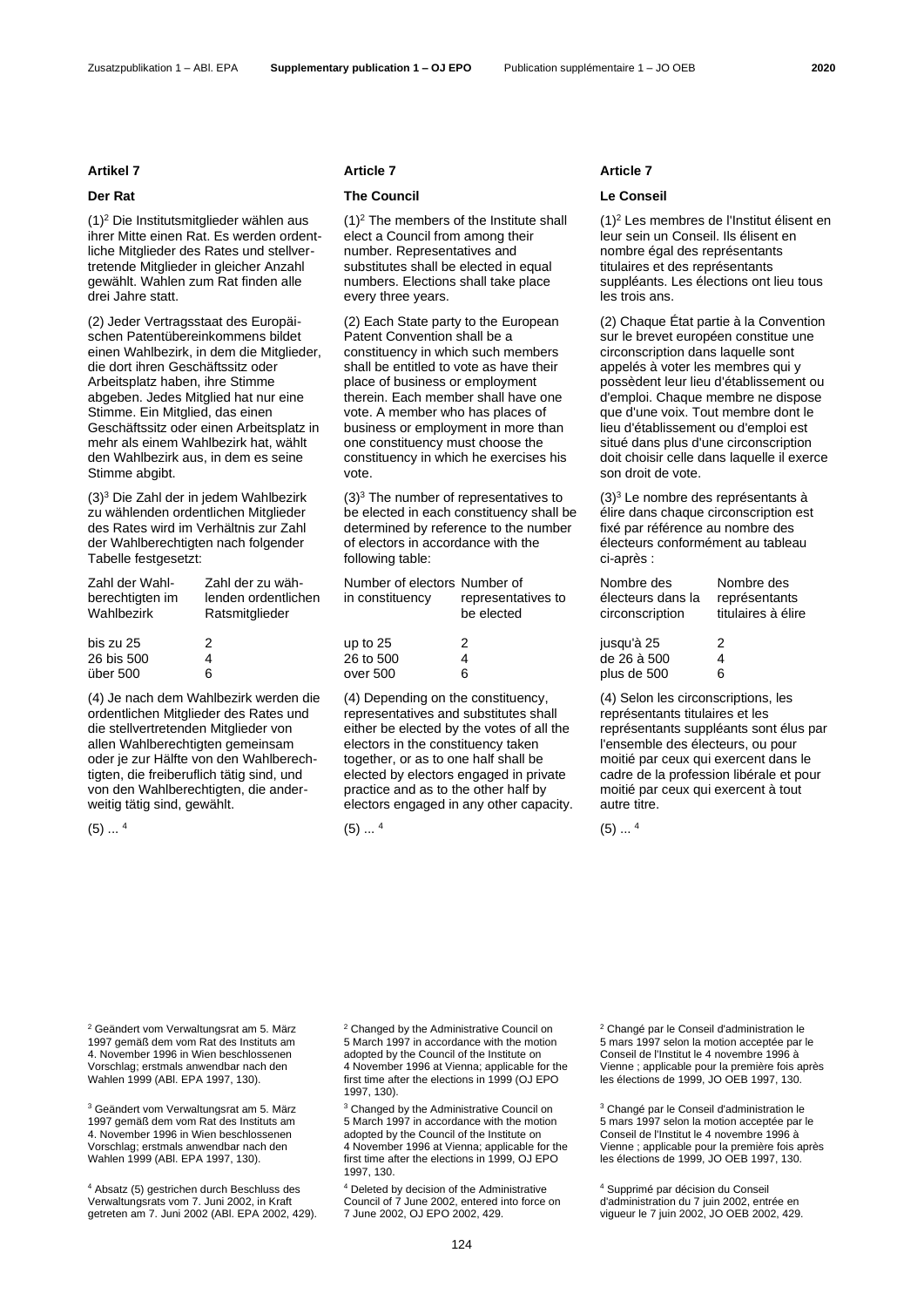### Zusatzpublikation 1 – ABl. EPA **Supplementary publication 1 – OJ EPO** Publication supplémentaire 1 – JO OEB **2020**

<span id="page-2-0"></span>(1)<sup>2</sup> Die Institutsmitglieder wählen aus ihrer Mitte einen Rat. Es werden ordentliche Mitglieder des Rates und stellvertretende Mitglieder in gleicher Anzahl gewählt. Wahlen zum Rat finden alle drei Jahre statt.

(2) Jeder Vertragsstaat des Europäischen Patentübereinkommens bildet einen Wahlbezirk, in dem die Mitglieder, die dort ihren Geschäftssitz oder Arbeitsplatz haben, ihre Stimme abgeben. Jedes Mitglied hat nur eine Stimme. Ein Mitglied, das einen Geschäftssitz oder einen Arbeitsplatz in mehr als einem Wahlbezirk hat, wählt den Wahlbezirk aus, in dem es seine Stimme abgibt.

<span id="page-2-1"></span>(3)<sup>3</sup> Die Zahl der in jedem Wahlbezirk zu wählenden ordentlichen Mitglieder des Rates wird im Verhältnis zur Zahl der Wahlberechtigten nach folgender Tabelle festgesetzt:

| Zahl der Wahl-  | Zahl der zu wäh-    |
|-----------------|---------------------|
| berechtigten im | lenden ordentlichen |
| Wahlbezirk      | Ratsmitglieder      |
|                 |                     |
| bis zu 25       | 2                   |
| 26 bis 500      | 4                   |
| über 500        | ิค                  |

(4) Je nach dem Wahlbezirk werden die ordentlichen Mitglieder des Rates und die stellvertretenden Mitglieder von allen Wahlberechtigten gemeinsam oder je zur Hälfte von den Wahlberechtigten, die freiberuflich tätig sind, und von den Wahlberechtigten, die anderweitig tätig sind, gewählt.

<span id="page-2-2"></span> $(5)$   $4$ 

### **Artikel 7 Article 7 Article 7**

# **Der Rat Council Council Council Conseil Le Conseil**

 $(1)^2$  $(1)^2$  $(1)^2$  The members of the Institute shall elect a Council from among their number. Representatives and substitutes shall be elected in equal numbers. Elections shall take place every three years.

(2) Each State party to the European Patent Convention shall be a constituency in which such members shall be entitled to vote as have their place of business or employment therein. Each member shall have one vote. A member who has places of business or employment in more than one constituency must choose the constituency in which he exercises his vote.

 $(3)<sup>3</sup>$  $(3)<sup>3</sup>$  $(3)<sup>3</sup>$  The number of representatives to be elected in each constituency shall be determined by reference to the number of electors in accordance with the following table:

| Number of electors Number of |                                  |
|------------------------------|----------------------------------|
| in constituency              | representatives to<br>be elected |
| up to 25                     | 2                                |
| 26 to 500                    | 4                                |
| over 500                     | 6                                |

(4) Depending on the constituency, representatives and substitutes shall either be elected by the votes of all the electors in the constituency taken together, or as to one half shall be elected by electors engaged in private practice and as to the other half by electors engaged in any other capacity.

 $(5)$   $4$ 

(1[\)](#page-2-0)<sup>2</sup> Les membres de l'Institut élisent en leur sein un Conseil. Ils élisent en nombre égal des représentants titulaires et des représentants suppléants. Les élections ont lieu tous les trois ans.

(2) Chaque État partie à la Convention sur le brevet européen constitue une circonscription dans laquelle sont appelés à voter les membres qui y possèdent leur lieu d'établissement ou d'emploi. Chaque membre ne dispose que d'une voix. Tout membre dont le lieu d'établissement ou d'emploi est situé dans plus d'une circonscription doit choisir celle dans laquelle il exerce son droit de vote.

(3[\)](#page-2-1)<sup>3</sup> Le nombre des représentants à élire dans chaque circonscription est fixé par référence au nombre des électeurs conformément au tableau ci-après :

| Nombre des                           | Nombre des                          |
|--------------------------------------|-------------------------------------|
| électeurs dans la<br>circonscription | représentants<br>titulaires à élire |
| jusqu'à 25                           | 2                                   |
| de 26 à 500                          | 4                                   |
| plus de 500                          | 6                                   |

(4) Selon les circonscriptions, les représentants titulaires et les représentants suppléants sont élus par l'ensemble des électeurs, ou pour moitié par ceux qui exercent dans le cadre de la profession libérale et pour moitié par ceux qui exercent à tout autre titre.

 $(5)$ ... <sup>4</sup>

<sup>2</sup> Geändert vom Verwaltungsrat am 5. März 1997 gemäß dem vom Rat des Instituts am 4. November 1996 in Wien beschlossenen Vorschlag; erstmals anwendbar nach den Wahlen 1999 (ABl. EPA 1997, 130).

<sup>3</sup> Geändert vom Verwaltungsrat am 5. März 1997 gemäß dem vom Rat des Instituts am 4. November 1996 in Wien beschlossenen Vorschlag; erstmals anwendbar nach den Wahlen 1999 (ABl. EPA 1997, 130).

<sup>4</sup> Absatz (5) gestrichen durch Beschluss des Verwaltungsrats vom 7. Juni 2002, in Kraft getreten am 7. Juni 2002 (ABl. EPA 2002, 429). <sup>2</sup> Changed by the Administrative Council on 5 March 1997 in accordance with the motion adopted by the Council of the Institute on 4 November 1996 at Vienna; applicable for the first time after the elections in 1999 (OJ EPO 1997, 130).

<sup>3</sup> Changed by the Administrative Council on 5 March 1997 in accordance with the motion adopted by the Council of the Institute on 4 November 1996 at Vienna; applicable for the first time after the elections in 1999, OJ EPO 1997, 130.

<sup>4</sup> Deleted by decision of the Administrative Council of 7 June 2002, entered into force on 7 June 2002, OJ EPO 2002, 429.

<sup>2</sup> Changé par le Conseil d'administration le 5 mars 1997 selon la motion acceptée par le Conseil de l'Institut le 4 novembre 1996 à Vienne ; applicable pour la première fois après les élections de 1999, JO OEB 1997, 130.

<sup>3</sup> Changé par le Conseil d'administration le 5 mars 1997 selon la motion acceptée par le Conseil de l'Institut le 4 novembre 1996 à Vienne ; applicable pour la première fois après les élections de 1999, JO OEB 1997, 130.

<sup>4</sup> Supprimé par décision du Conseil d'administration du 7 juin 2002, entrée en vigueur le 7 juin 2002, JO OEB 2002, 429.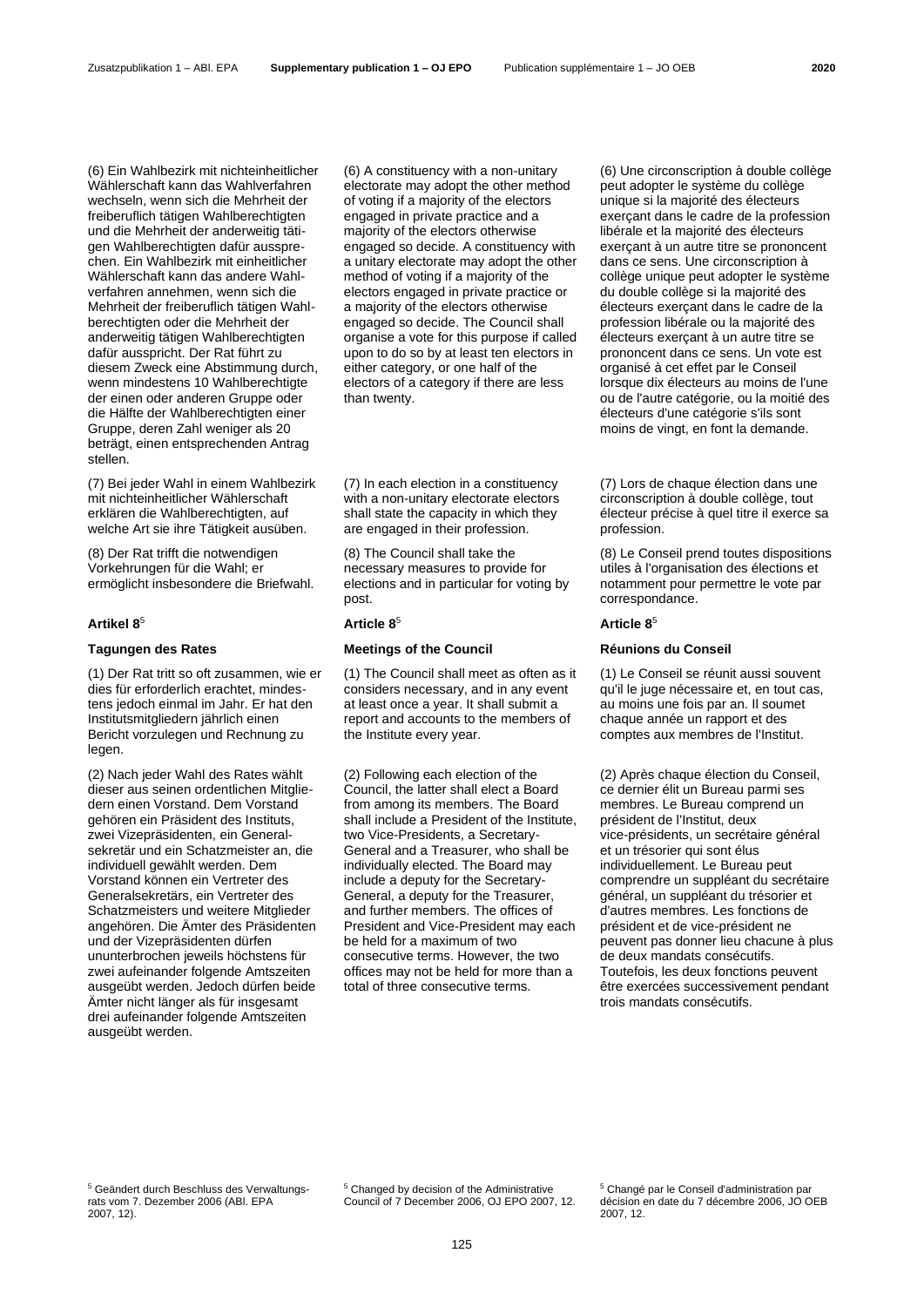(6) Ein Wahlbezirk mit nichteinheitlicher Wählerschaft kann das Wahlverfahren wechseln, wenn sich die Mehrheit der freiberuflich tätigen Wahlberechtigten und die Mehrheit der anderweitig tätigen Wahlberechtigten dafür aussprechen. Ein Wahlbezirk mit einheitlicher Wählerschaft kann das andere Wahlverfahren annehmen, wenn sich die Mehrheit der freiberuflich tätigen Wahlberechtigten oder die Mehrheit der anderweitig tätigen Wahlberechtigten dafür ausspricht. Der Rat führt zu diesem Zweck eine Abstimmung durch, wenn mindestens 10 Wahlberechtigte der einen oder anderen Gruppe oder die Hälfte der Wahlberechtigten einer Gruppe, deren Zahl weniger als 20 beträgt, einen entsprechenden Antrag stellen.

(7) Bei jeder Wahl in einem Wahlbezirk mit nichteinheitlicher Wählerschaft erklären die Wahlberechtigten, auf welche Art sie ihre Tätigkeit ausüben.

(8) Der Rat trifft die notwendigen Vorkehrungen für die Wahl; er ermöglicht insbesondere die Briefwahl.

(1) Der Rat tritt so oft zusammen, wie er dies für erforderlich erachtet, mindestens jedoch einmal im Jahr. Er hat den Institutsmitgliedern jährlich einen Bericht vorzulegen und Rechnung zu legen.

(2) Nach jeder Wahl des Rates wählt dieser aus seinen ordentlichen Mitgliedern einen Vorstand. Dem Vorstand gehören ein Präsident des Instituts, zwei Vizepräsidenten, ein Generalsekretär und ein Schatzmeister an, die individuell gewählt werden. Dem Vorstand können ein Vertreter des Generalsekretärs, ein Vertreter des Schatzmeisters und weitere Mitglieder angehören. Die Ämter des Präsidenten und der Vizepräsidenten dürfen ununterbrochen jeweils höchstens für zwei aufeinander folgende Amtszeiten ausgeübt werden. Jedoch dürfen beide Ämter nicht länger als für insgesamt drei aufeinander folgende Amtszeiten ausgeübt werden.

(6) A constituency with a non-unitary electorate may adopt the other method of voting if a majority of the electors engaged in private practice and a majority of the electors otherwise engaged so decide. A constituency with a unitary electorate may adopt the other method of voting if a majority of the electors engaged in private practice or a majority of the electors otherwise engaged so decide. The Council shall organise a vote for this purpose if called upon to do so by at least ten electors in either category, or one half of the electors of a category if there are less than twenty.

(7) In each election in a constituency with a non-unitary electorate electors shall state the capacity in which they are engaged in their profession.

(8) The Council shall take the necessary measures to provide for elections and in particular for voting by post.

## <span id="page-3-0"></span>**Artikel 8**<sup>5</sup> **Article [8](#page-3-0)**<sup>5</sup> **Article [8](#page-3-0)**<sup>5</sup>

## **Tagungen des Rates Meetings of the Council Réunions du Conseil**

(1) The Council shall meet as often as it considers necessary, and in any event at least once a year. It shall submit a report and accounts to the members of the Institute every year.

(2) Following each election of the Council, the latter shall elect a Board from among its members. The Board shall include a President of the Institute, two Vice-Presidents, a Secretary-General and a Treasurer, who shall be individually elected. The Board may include a deputy for the Secretary-General, a deputy for the Treasurer, and further members. The offices of President and Vice-President may each be held for a maximum of two consecutive terms. However, the two offices may not be held for more than a total of three consecutive terms.

(6) Une circonscription à double collège peut adopter le système du collège unique si la majorité des électeurs exerçant dans le cadre de la profession libérale et la majorité des électeurs exerçant à un autre titre se prononcent dans ce sens. Une circonscription à collège unique peut adopter le système du double collège si la majorité des électeurs exerçant dans le cadre de la profession libérale ou la majorité des électeurs exerçant à un autre titre se prononcent dans ce sens. Un vote est organisé à cet effet par le Conseil lorsque dix électeurs au moins de l'une ou de l'autre catégorie, ou la moitié des électeurs d'une catégorie s'ils sont moins de vingt, en font la demande.

(7) Lors de chaque élection dans une circonscription à double collège, tout électeur précise à quel titre il exerce sa profession.

(8) Le Conseil prend toutes dispositions utiles à l'organisation des élections et notamment pour permettre le vote par correspondance.

(1) Le Conseil se réunit aussi souvent qu'il le juge nécessaire et, en tout cas, au moins une fois par an. Il soumet chaque année un rapport et des comptes aux membres de l'Institut.

(2) Après chaque élection du Conseil, ce dernier élit un Bureau parmi ses membres. Le Bureau comprend un président de l'Institut, deux vice-présidents, un secrétaire général et un trésorier qui sont élus individuellement. Le Bureau peut comprendre un suppléant du secrétaire général, un suppléant du trésorier et d'autres membres. Les fonctions de président et de vice-président ne peuvent pas donner lieu chacune à plus de deux mandats consécutifs. Toutefois, les deux fonctions peuvent être exercées successivement pendant trois mandats consécutifs.

<sup>5</sup> Geändert durch Beschluss des Verwaltungsrats vom 7. Dezember 2006 (ABl. EPA 2007, 12).

<sup>5</sup> Changed by decision of the Administrative Council of 7 December 2006, OJ EPO 2007, 12. <sup>5</sup> Changé par le Conseil d'administration par décision en date du 7 décembre 2006, JO OEB 2007, 12.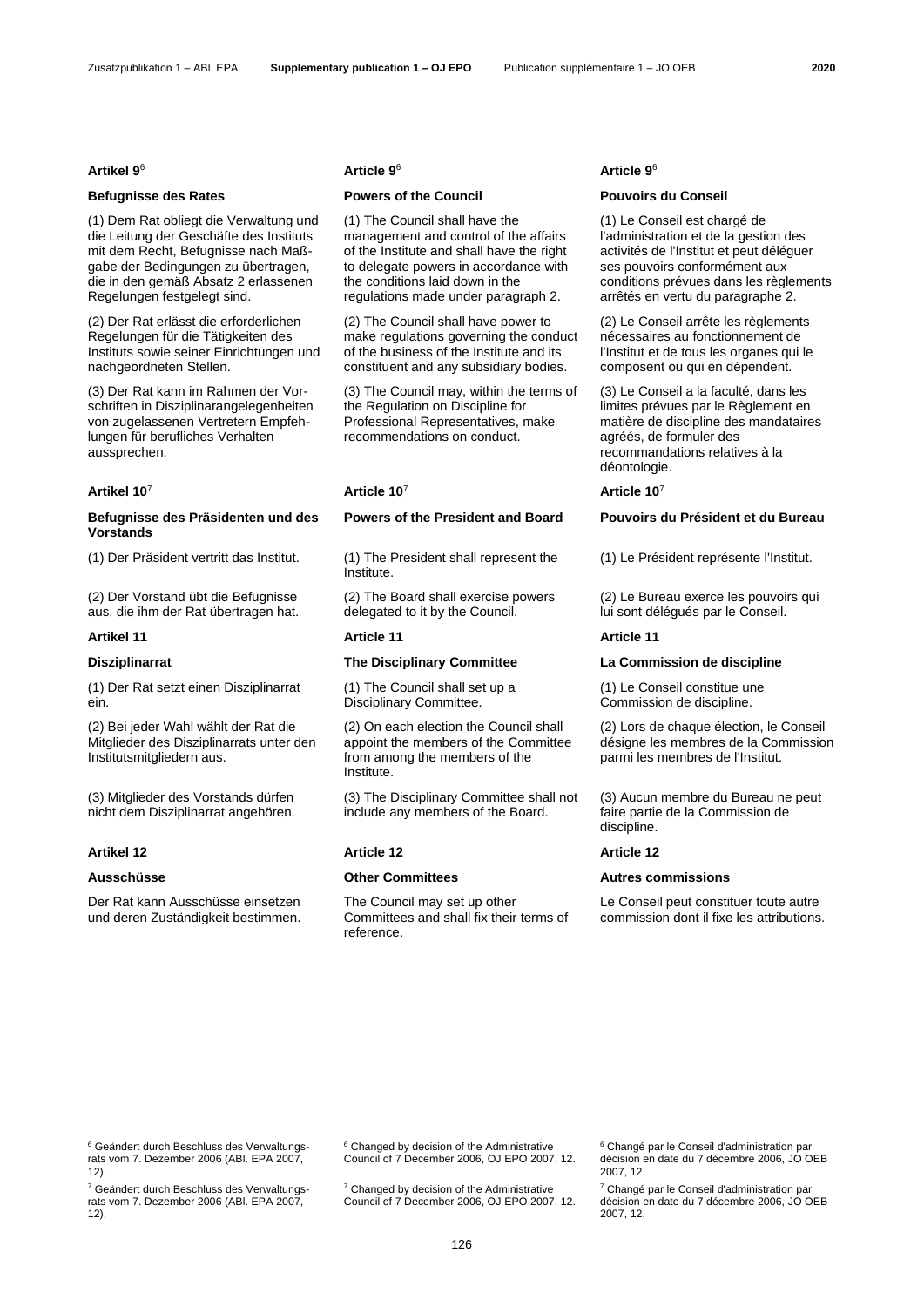(1) Dem Rat obliegt die Verwaltung und die Leitung der Geschäfte des Instituts mit dem Recht, Befugnisse nach Maßgabe der Bedingungen zu übertragen, die in den gemäß Absatz 2 erlassenen Regelungen festgelegt sind.

(2) Der Rat erlässt die erforderlichen Regelungen für die Tätigkeiten des Instituts sowie seiner Einrichtungen und nachgeordneten Stellen.

(3) Der Rat kann im Rahmen der Vorschriften in Disziplinarangelegenheiten von zugelassenen Vertretern Empfehlungen für berufliches Verhalten aussprechen.

## <span id="page-4-1"></span>**Artikel 10**<sup>7</sup> **Article 10**[7](#page-4-1) **Article 1[0](#page-4-1)**<sup>7</sup>

# **Befugnisse des Präsidenten und des Vorstands**

(2) Der Vorstand übt die Befugnisse aus, die ihm der Rat übertragen hat.

### **Artikel 11 Article 11 Article 11**

(1) Der Rat setzt einen Disziplinarrat ein.

(2) Bei jeder Wahl wählt der Rat die Mitglieder des Disziplinarrats unter den Institutsmitgliedern aus.

(3) Mitglieder des Vorstands dürfen nicht dem Disziplinarrat angehören.

Der Rat kann Ausschüsse einsetzen und deren Zuständigkeit bestimmen.

## **Befugnisse des Rates Powers of the Council Pouvoirs du Conseil**

(1) The Council shall have the management and control of the affairs of the Institute and shall have the right to delegate powers in accordance with the conditions laid down in the regulations made under paragraph 2.

(2) The Council shall have power to make regulations governing the conduct of the business of the Institute and its constituent and any subsidiary bodies.

(3) The Council may, within the terms of the Regulation on Discipline for Professional Representatives, make recommendations on conduct.

(1) Der Präsident vertritt das Institut. (1) The President shall represent the Institute.

> (2) The Board shall exercise powers delegated to it by the Council.

(1) The Council shall set up a Disciplinary Committee.

(2) On each election the Council shall appoint the members of the Committee from among the members of the Institute.

(3) The Disciplinary Committee shall not include any members of the Board.

The Council may set up other Committees and shall fix their terms of reference.

### <span id="page-4-0"></span>**Artikel 9**<sup>6</sup> **Article [9](#page-4-0)**<sup>6</sup> **Article [9](#page-4-0)**<sup>6</sup>

(1) Le Conseil est chargé de l'administration et de la gestion des activités de l'Institut et peut déléguer ses pouvoirs conformément aux conditions prévues dans les règlements arrêtés en vertu du paragraphe 2.

(2) Le Conseil arrête les règlements nécessaires au fonctionnement de l'Institut et de tous les organes qui le composent ou qui en dépendent.

(3) Le Conseil a la faculté, dans les limites prévues par le Règlement en matière de discipline des mandataires agréés, de formuler des recommandations relatives à la déontologie.

# **Powers of the President and Board Pouvoirs du Président et du Bureau**

(1) Le Président représente l'Institut.

(2) Le Bureau exerce les pouvoirs qui lui sont délégués par le Conseil.

### **Disziplinarrat The Disciplinary Committee La Commission de discipline**

(1) Le Conseil constitue une Commission de discipline.

(2) Lors de chaque élection, le Conseil désigne les membres de la Commission parmi les membres de l'Institut.

(3) Aucun membre du Bureau ne peut faire partie de la Commission de discipline.

### **Artikel 12 Article 12 Article 12**

# **Ausschüsse Other Committees Autres commissions**

Le Conseil peut constituer toute autre commission dont il fixe les attributions.

<sup>6</sup> Geändert durch Beschluss des Verwaltungsrats vom 7. Dezember 2006 (ABl. EPA 2007, 12).

<sup>7</sup> Geändert durch Beschluss des Verwaltungsrats vom 7. Dezember 2006 (ABl. EPA 2007, 12).

<sup>6</sup> Changed by decision of the Administrative Council of 7 December 2006, OJ EPO 2007, 12.

 $7$  Changed by decision of the Administrative Council of 7 December 2006, OJ EPO 2007, 12. <sup>6</sup> Changé par le Conseil d'administration par décision en date du 7 décembre 2006, JO OEB 2007, 12.

<sup>7</sup> Changé par le Conseil d'administration par décision en date du 7 décembre 2006, JO OEB 2007, 12.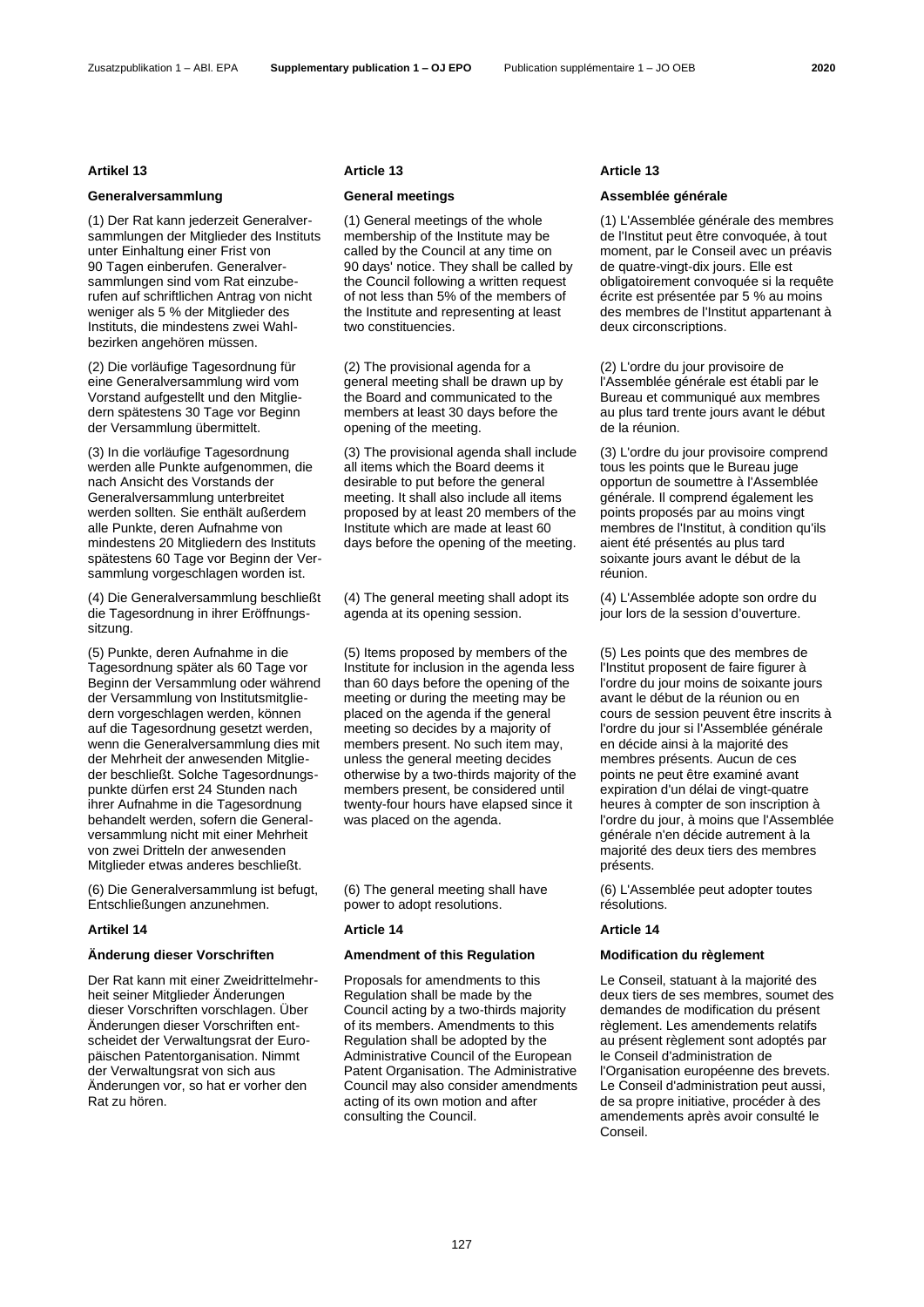### Zusatzpublikation 1 – ABl. EPA **Supplementary publication 1 – OJ EPO** Publication supplémentaire 1 – JO OEB **2020**

(1) Der Rat kann jederzeit Generalversammlungen der Mitglieder des Instituts unter Einhaltung einer Frist von 90 Tagen einberufen. Generalversammlungen sind vom Rat einzuberufen auf schriftlichen Antrag von nicht weniger als 5 % der Mitglieder des Instituts, die mindestens zwei Wahlbezirken angehören müssen.

(2) Die vorläufige Tagesordnung für eine Generalversammlung wird vom Vorstand aufgestellt und den Mitgliedern spätestens 30 Tage vor Beginn der Versammlung übermittelt.

(3) In die vorläufige Tagesordnung werden alle Punkte aufgenommen, die nach Ansicht des Vorstands der Generalversammlung unterbreitet werden sollten. Sie enthält außerdem alle Punkte, deren Aufnahme von mindestens 20 Mitgliedern des Instituts spätestens 60 Tage vor Beginn der Versammlung vorgeschlagen worden ist.

(4) Die Generalversammlung beschließt die Tagesordnung in ihrer Eröffnungssitzung.

(5) Punkte, deren Aufnahme in die Tagesordnung später als 60 Tage vor Beginn der Versammlung oder während der Versammlung von lnstitutsmitgliedern vorgeschlagen werden, können auf die Tagesordnung gesetzt werden, wenn die Generalversammlung dies mit der Mehrheit der anwesenden Mitglieder beschließt. Solche Tagesordnungspunkte dürfen erst 24 Stunden nach ihrer Aufnahme in die Tagesordnung behandelt werden, sofern die Generalversammlung nicht mit einer Mehrheit von zwei Dritteln der anwesenden Mitglieder etwas anderes beschließt.

(6) Die Generalversammlung ist befugt, Entschließungen anzunehmen.

Der Rat kann mit einer Zweidrittelmehrheit seiner Mitglieder Änderungen dieser Vorschriften vorschlagen. Über Änderungen dieser Vorschriften entscheidet der Verwaltungsrat der Europäischen Patentorganisation. Nimmt der Verwaltungsrat von sich aus Änderungen vor, so hat er vorher den Rat zu hören.

### **Artikel 13 Article 13 Article 13**

(1) General meetings of the whole membership of the Institute may be called by the Council at any time on 90 days' notice. They shall be called by the Council following a written request of not less than 5% of the members of the Institute and representing at least two constituencies.

(2) The provisional agenda for a general meeting shall be drawn up by the Board and communicated to the members at least 30 days before the opening of the meeting.

(3) The provisional agenda shall include all items which the Board deems it desirable to put before the general meeting. It shall also include all items proposed by at least 20 members of the Institute which are made at least 60 days before the opening of the meeting.

(4) The general meeting shall adopt its agenda at its opening session.

(5) Items proposed by members of the Institute for inclusion in the agenda less than 60 days before the opening of the meeting or during the meeting may be placed on the agenda if the general meeting so decides by a majority of members present. No such item may, unless the general meeting decides otherwise by a two-thirds majority of the members present, be considered until twenty-four hours have elapsed since it was placed on the agenda.

(6) The general meeting shall have power to adopt resolutions.

### **Artikel 14 Article 14 Article 14**

### **Änderung dieser Vorschriften Amendment of this Regulation Modification du règlement**

Proposals for amendments to this Regulation shall be made by the Council acting by a two-thirds majority of its members. Amendments to this Regulation shall be adopted by the Administrative Council of the European Patent Organisation. The Administrative Council may also consider amendments acting of its own motion and after consulting the Council.

## **Generalversammlung General meetings Assemblée générale**

(1) L'Assemblée générale des membres de l'Institut peut être convoquée, à tout moment, par le Conseil avec un préavis de quatre-vingt-dix jours. Elle est obligatoirement convoquée si la requête écrite est présentée par 5 % au moins des membres de l'Institut appartenant à deux circonscriptions.

(2) L'ordre du jour provisoire de l'Assemblée générale est établi par le Bureau et communiqué aux membres au plus tard trente jours avant le début de la réunion.

(3) L'ordre du jour provisoire comprend tous les points que le Bureau juge opportun de soumettre à l'Assemblée générale. Il comprend également les points proposés par au moins vingt membres de l'Institut, à condition qu'ils aient été présentés au plus tard soixante jours avant le début de la réunion.

(4) L'Assemblée adopte son ordre du jour lors de la session d'ouverture.

(5) Les points que des membres de l'Institut proposent de faire figurer à l'ordre du jour moins de soixante jours avant le début de la réunion ou en cours de session peuvent être inscrits à l'ordre du jour si l'Assemblée générale en décide ainsi à la majorité des membres présents. Aucun de ces points ne peut être examiné avant expiration d'un délai de vingt-quatre heures à compter de son inscription à l'ordre du jour, à moins que l'Assemblée générale n'en décide autrement à la majorité des deux tiers des membres présents.

(6) L'Assemblée peut adopter toutes résolutions.

Le Conseil, statuant à la majorité des deux tiers de ses membres, soumet des demandes de modification du présent règlement. Les amendements relatifs au présent règlement sont adoptés par le Conseil d'administration de l'Organisation européenne des brevets. Le Conseil d'administration peut aussi, de sa propre initiative, procéder à des amendements après avoir consulté le Conseil.